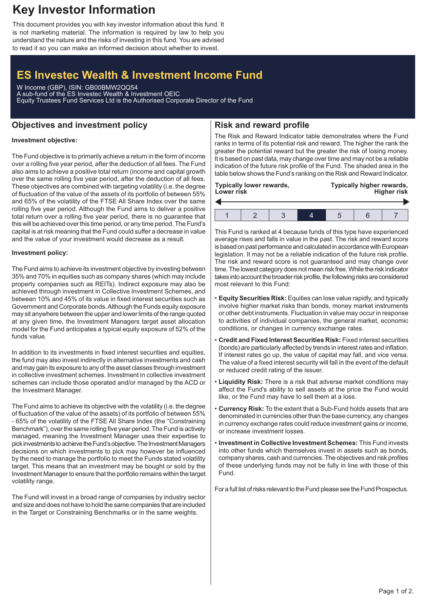# **Key Investor Information**

This document provides you with key investor information about this fund. It is not marketing material. The information is required by law to help you understand the nature and the risks of investing in this fund. You are advised to read it so you can make an informed decision about whether to invest.

# **ES Investec Wealth & Investment Income Fund**

W Income (GBP), ISIN: GB00BMW2QQ54 A sub-fund of the ES Investec Wealth & Investment OEIC Equity Trustees Fund Services Ltd is the Authorised Corporate Director of the Fund

## **Objectives and investment policy**

## **Risk and reward profile**

### **Investment objective:**

The Fund objective is to primarily achieve a return in the form of income over a rolling five year period, after the deduction of all fees. The Fund also aims to achieve a positive total return (income and capital growth over the same rolling five year period, after the deduction of all fees. These objectives are combined with targeting volatility (i.e. the degree of fluctuation of the value of the assets of its portfolio of between 55% and 65% of the volatility of the FTSE All Share Index over the same rolling five year period. Although the Fund aims to deliver a positive total return over a rolling five year period, there is no guarantee that this will be achieved over this time period, or any time period. The Fund's capital is at risk meaning that the Fund could suffer a decrease in value and the value of your investment would decrease as a result.

### **Investment policy:**

The Fund aims to achieve its investment objective by investing between 35% and 70% in equities such as company shares (which may include property companies such as REITs). Indirect exposure may also be achieved through investment in Collective Investment Schemes, and between 10% and 45% of its value in fixed interest securities such as Government and Corporate bonds.Although the Funds equity exposure may sit anywhere between the upper and lower limits of the range quoted at any given time, the Investment Managers target asset allocation model for the Fund anticipates a typical equity exposure of 52% of the funds value.

In addition to its investments in fixed interest securities and equities, the fund may also invest indirectly in alternative investments and cash and may gain its exposure to any of the asset classes through investment in collective investment schemes. Investment in collective investment schemes can include those operated and/or managed by the ACD or the Investment Manager.

The Fund aims to achieve its objective with the volatility (i.e. the degree of fluctuation of the value of the assets) of its portfolio of between 55% - 65% of the volatility of the FTSE All Share Index (the "Constraining Benchmark"), over the same rolling five year period. The Fund is actively managed, meaning the Investment Manager uses their expertise to pick investments to achieve the Fund's objective. The Investment Managers decisions on which investments to pick may however be influenced by the need to manage the portfolio to meet the Funds stated volatility target. This means that an investment may be bought or sold by the Investment Manager to ensure that the portfolio remains within the target volatility range.

The Fund will invest in a broad range of companies by industry sector and size and does not have to hold the same companies that are included in the Target or Constraining Benchmarks or in the same weights.

The Risk and Reward Indicator table demonstrates where the Fund ranks in terms of its potential risk and reward. The higher the rank the greater the potential reward but the greater the risk of losing money. It is based on past data, may change over time and may not be a reliable indication of the future risk profile of the Fund. The shaded area in the table below shows the Fund's ranking on the Risk and Reward Indicator.

This Fund is ranked at 4 because funds of this type have experienced average rises and falls in value in the past. The risk and reward score is based on past performance and calculated in accordance with European legislation. It may not be a reliable indication of the future risk profile. The risk and reward score is not guaranteed and may change over time. The lowest category does not mean risk free.While the risk indicator takes into account the broader risk profile, the following risks are considered most relevant to this Fund:

- **Equity Securities Risk:** Equities can lose value rapidly, and typically involve higher market risks than bonds, money market instruments or other debt instruments. Fluctuation in value may occur in response to activities of individual companies, the general market, economic conditions, or changes in currency exchange rates.
- **Credit and Fixed Interest Securities Risk:** Fixed interest securities (bonds) are particularly affected by trends in interest rates and inflation. If interest rates go up, the value of capital may fall, and vice versa. The value of a fixed interest security will fall in the event of the default or reduced credit rating of the issuer.
- **Liquidity Risk:** There is a risk that adverse market conditions may affect the Fund's ability to sell assets at the price the Fund would like, or the Fund may have to sell them at a loss.
- **Currency Risk:** To the extent that a Sub-Fund holds assets that are denominated in currencies other than the base currency, any changes in currency exchange rates could reduce investment gains or income, or increase investment losses.
- **Investment in Collective Investment Schemes:** This Fund invests into other funds which themselves invest in assets such as bonds, company shares, cash and currencies. The objectives and risk profiles of these underlying funds may not be fully in line with those of this Fund.

For a full list of risks relevant to the Fund please see the Fund Prospectus.